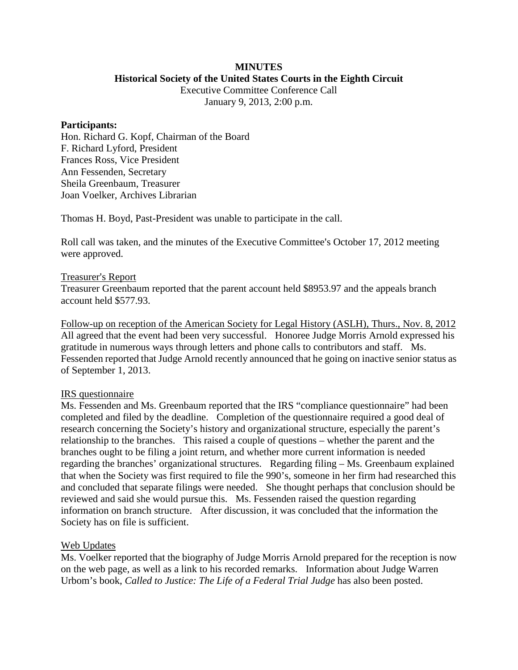# **MINUTES**

**Historical Society of the United States Courts in the Eighth Circuit**

Executive Committee Conference Call January 9, 2013, 2:00 p.m.

#### **Participants:**

Hon. Richard G. Kopf, Chairman of the Board F. Richard Lyford, President Frances Ross, Vice President Ann Fessenden, Secretary Sheila Greenbaum, Treasurer Joan Voelker, Archives Librarian

Thomas H. Boyd, Past-President was unable to participate in the call.

Roll call was taken, and the minutes of the Executive Committee's October 17, 2012 meeting were approved.

# Treasurer's Report

Treasurer Greenbaum reported that the parent account held \$8953.97 and the appeals branch account held \$577.93.

Follow-up on reception of the American Society for Legal History (ASLH), Thurs., Nov. 8, 2012 All agreed that the event had been very successful. Honoree Judge Morris Arnold expressed his gratitude in numerous ways through letters and phone calls to contributors and staff. Ms. Fessenden reported that Judge Arnold recently announced that he going on inactive senior status as of September 1, 2013.

# IRS questionnaire

Ms. Fessenden and Ms. Greenbaum reported that the IRS "compliance questionnaire" had been completed and filed by the deadline. Completion of the questionnaire required a good deal of research concerning the Society's history and organizational structure, especially the parent's relationship to the branches. This raised a couple of questions – whether the parent and the branches ought to be filing a joint return, and whether more current information is needed regarding the branches' organizational structures. Regarding filing – Ms. Greenbaum explained that when the Society was first required to file the 990's, someone in her firm had researched this and concluded that separate filings were needed. She thought perhaps that conclusion should be reviewed and said she would pursue this. Ms. Fessenden raised the question regarding information on branch structure. After discussion, it was concluded that the information the Society has on file is sufficient.

# Web Updates

Ms. Voelker reported that the biography of Judge Morris Arnold prepared for the reception is now on the web page, as well as a link to his recorded remarks. Information about Judge Warren Urbom's book, *Called to Justice: The Life of a Federal Trial Judge* has also been posted.